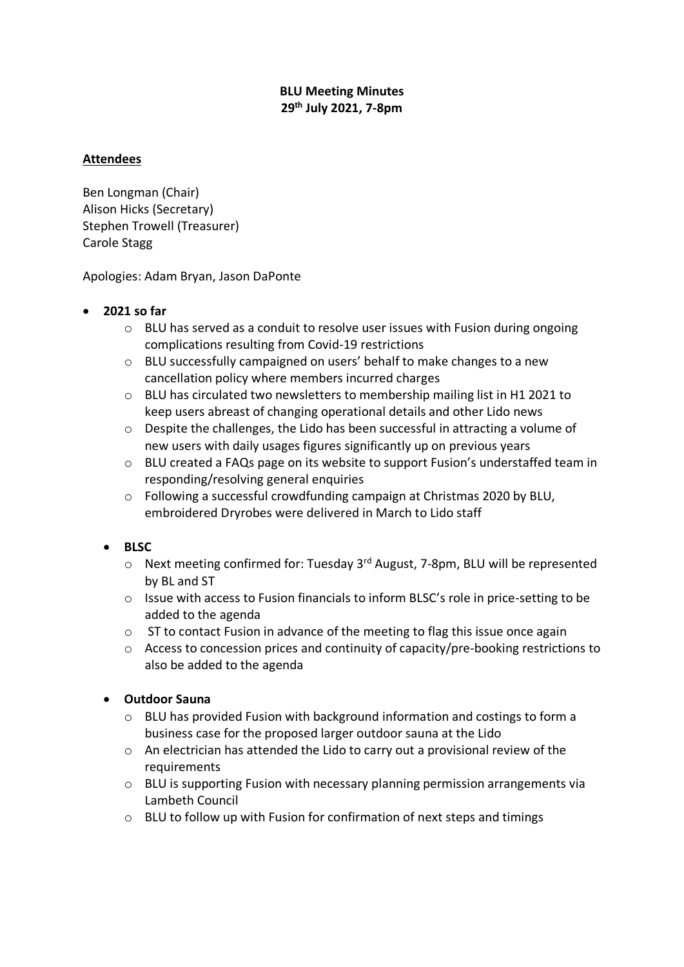# **BLU Meeting Minutes 29th July 2021, 7-8pm**

# **Attendees**

Ben Longman (Chair) Alison Hicks (Secretary) Stephen Trowell (Treasurer) Carole Stagg

Apologies: Adam Bryan, Jason DaPonte

### • **2021 so far**

- o BLU has served as a conduit to resolve user issues with Fusion during ongoing complications resulting from Covid-19 restrictions
- o BLU successfully campaigned on users' behalf to make changes to a new cancellation policy where members incurred charges
- o BLU has circulated two newsletters to membership mailing list in H1 2021 to keep users abreast of changing operational details and other Lido news
- o Despite the challenges, the Lido has been successful in attracting a volume of new users with daily usages figures significantly up on previous years
- o BLU created a FAQs page on its website to support Fusion's understaffed team in responding/resolving general enquiries
- o Following a successful crowdfunding campaign at Christmas 2020 by BLU, embroidered Dryrobes were delivered in March to Lido staff

### • **BLSC**

- $\circ$  Next meeting confirmed for: Tuesday 3<sup>rd</sup> August, 7-8pm, BLU will be represented by BL and ST
- o Issue with access to Fusion financials to inform BLSC's role in price-setting to be added to the agenda
- $\circ$  ST to contact Fusion in advance of the meeting to flag this issue once again
- o Access to concession prices and continuity of capacity/pre-booking restrictions to also be added to the agenda

### • **Outdoor Sauna**

- $\circ$  BLU has provided Fusion with background information and costings to form a business case for the proposed larger outdoor sauna at the Lido
- o An electrician has attended the Lido to carry out a provisional review of the requirements
- o BLU is supporting Fusion with necessary planning permission arrangements via Lambeth Council
- o BLU to follow up with Fusion for confirmation of next steps and timings